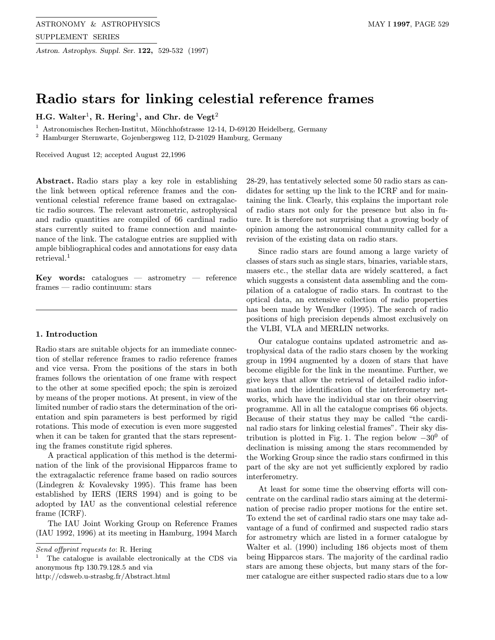# Radio stars for linking celestial reference frames

H.G. Walter<sup>1</sup>, R. Hering<sup>1</sup>, and Chr. de Vegt<sup>2</sup>

<sup>1</sup> Astronomisches Rechen-Institut, M¨onchhofstrasse 12-14, D-69120 Heidelberg, Germany

 $^{\rm 2}$  Hamburger Sternwarte, Gojenbergsweg 112, D-21029 Hamburg, Germany

Received August 12; accepted August 22,1996

Abstract. Radio stars play a key role in establishing the link between optical reference frames and the conventional celestial reference frame based on extragalactic radio sources. The relevant astrometric, astrophysical and radio quantities are compiled of 66 cardinal radio stars currently suited to frame connection and maintenance of the link. The catalogue entries are supplied with ample bibliographical codes and annotations for easy data retrieval.<sup>1</sup>

**Key words:** catalogues  $-$  astrometry  $-$  reference frames — radio continuum: stars

#### 1. Introduction

Radio stars are suitable objects for an immediate connection of stellar reference frames to radio reference frames and vice versa. From the positions of the stars in both frames follows the orientation of one frame with respect to the other at some specified epoch; the spin is zeroized by means of the proper motions. At present, in view of the limited number of radio stars the determination of the orientation and spin parameters is best performed by rigid rotations. This mode of execution is even more suggested when it can be taken for granted that the stars representing the frames constitute rigid spheres.

A practical application of this method is the determination of the link of the provisional Hipparcos frame to the extragalactic reference frame based on radio sources (Lindegren & Kovalevsky 1995). This frame has been established by IERS (IERS 1994) and is going to be adopted by IAU as the conventional celestial reference frame (ICRF).

The IAU Joint Working Group on Reference Frames (IAU 1992, 1996) at its meeting in Hamburg, 1994 March

http://cdsweb.u-strasbg.fr/Abstract.html

28-29, has tentatively selected some 50 radio stars as candidates for setting up the link to the ICRF and for maintaining the link. Clearly, this explains the important role of radio stars not only for the presence but also in future. It is therefore not surprising that a growing body of opinion among the astronomical community called for a revision of the existing data on radio stars.

Since radio stars are found among a large variety of classes of stars such as single stars, binaries, variable stars, masers etc., the stellar data are widely scattered, a fact which suggests a consistent data assembling and the compilation of a catalogue of radio stars. In contrast to the optical data, an extensive collection of radio properties has been made by Wendker (1995). The search of radio positions of high precision depends almost exclusively on the VLBI, VLA and MERLIN networks.

Our catalogue contains updated astrometric and astrophysical data of the radio stars chosen by the working group in 1994 augmented by a dozen of stars that have become eligible for the link in the meantime. Further, we give keys that allow the retrieval of detailed radio information and the identification of the interferometry networks, which have the individual star on their observing programme. All in all the catalogue comprises 66 objects. Because of their status they may be called "the cardinal radio stars for linking celestial frames". Their sky distribution is plotted in Fig. 1. The region below  $-30^0$  of declination is missing among the stars recommended by the Working Group since the radio stars confirmed in this part of the sky are not yet sufficiently explored by radio interferometry.

At least for some time the observing efforts will concentrate on the cardinal radio stars aiming at the determination of precise radio proper motions for the entire set. To extend the set of cardinal radio stars one may take advantage of a fund of confirmed and suspected radio stars for astrometry which are listed in a former catalogue by Walter et al. (1990) including 186 objects most of them being Hipparcos stars. The majority of the cardinal radio stars are among these objects, but many stars of the former catalogue are either suspected radio stars due to a low

Send offprint requests to: R. Hering

<sup>1</sup> The catalogue is available electronically at the CDS via anonymous ftp 130.79.128.5 and via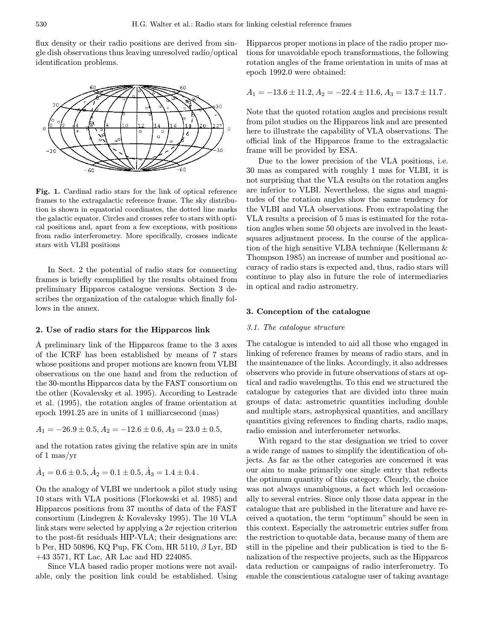flux density or their radio positions are derived from single dish observations thus leaving unresolved radio/optical identification problems.



Fig. 1. Cardinal radio stars for the link of optical reference frames to the extragalactic reference frame. The sky distribution is shown in equatorial coordinates, the dotted line marks the galactic equator. Circles and crosses refer to stars with optical positions and, apart from a few exceptions, with positions from radio interferometry. More specifically, crosses indicate stars with VLBI positions

In Sect. 2 the potential of radio stars for connecting frames is briefly exemplified by the results obtained from preliminary Hipparcos catalogue versions. Section 3 describes the organization of the catalogue which finally follows in the annex.

## 2. Use of radio stars for the Hipparcos link

A preliminary link of the Hipparcos frame to the 3 axes of the ICRF has been established by means of 7 stars whose positions and proper motions are known from VLBI observations on the one hand and from the reduction of the 30-months Hipparcos data by the FAST consortium on the other (Kovalevsky et al. 1995). According to Lestrade et al. (1995), the rotation angles of frame orientation at epoch 1991.25 are in units of 1 milliarcsecond (mas)

 $A_1 = -26.9 \pm 0.5, A_2 = -12.6 \pm 0.6, A_3 = 23.0 \pm 0.5,$ 

and the rotation rates giving the relative spin are in units of 1 mas/yr

$$
\dot{A}_1 = 0.6 \pm 0.5, \dot{A}_2 = 0.1 \pm 0.5, \dot{A}_3 = 1.4 \pm 0.4.
$$

On the analogy of VLBI we undertook a pilot study using 10 stars with VLA positions (Florkowski et al. 1985) and Hipparcos positions from 37 months of data of the FAST consortium (Lindegren & Kovalevsky 1995). The 10 VLA link stars were selected by applying a  $2\sigma$  rejection criterion to the post-fit residuals HIP-VLA; their designations are: b Per, HD 50896, KQ Pup, FK Com, HR 5110, β Lyr, BD +43 3571, RT Lac, AR Lac and HD 224085.

Since VLA based radio proper motions were not available, only the position link could be established. Using

Hipparcos proper motions in place of the radio proper motions for unavoidable epoch transformations, the following rotation angles of the frame orientation in units of mas at epoch 1992.0 were obtained:

$$
A_1 = -13.6 \pm 11.2, A_2 = -22.4 \pm 11.6, A_3 = 13.7 \pm 11.7.
$$

Note that the quoted rotation angles and precisions result from pilot studies on the Hipparcos link and are presented here to illustrate the capability of VLA observations. The official link of the Hipparcos frame to the extragalactic frame will be provided by ESA.

Due to the lower precision of the VLA positions, i.e. 30 mas as compared with roughly 1 mas for VLBI, it is not surprising that the VLA results on the rotation angles are inferior to VLBI. Nevertheless, the signs and magnitudes of the rotation angles show the same tendency for the VLBI and VLA observations. From extrapolating the VLA results a precision of 5 mas is estimated for the rotation angles when some 50 objects are involved in the leastsquares adjustment process. In the course of the application of the high sensitive VLBA technique (Kellermann & Thompson 1985) an increase of number and positional accuracy of radio stars is expected and, thus, radio stars will continue to play also in future the role of intermediaries in optical and radio astrometry.

## 3. Conception of the catalogue

## 3.1. The catalogue structure

The catalogue is intended to aid all those who engaged in linking of reference frames by means of radio stars, and in the maintenance of the links. Accordingly, it also addresses observers who provide in future observations of stars at optical and radio wavelengths. To this end we structured the catalogue by categories that are divided into three main groups of data: astrometric quantities including double and multiple stars, astrophysical quantities, and ancillary quantities giving references to finding charts, radio maps, radio emission and interferometer networks.

With regard to the star designation we tried to cover a wide range of names to simplify the identification of objects. As far as the other categories are concerned it was our aim to make primarily one single entry that reflects the optimum quantity of this category. Clearly, the choice was not always unambiguous, a fact which led occasionally to several entries. Since only those data appear in the catalogue that are published in the literature and have received a quotation, the term "optimum" should be seen in this context. Especially the astrometric entries suffer from the restriction to quotable data, because many of them are still in the pipeline and their publication is tied to the finalization of the respective projects, such as the Hipparcos data reduction or campaigns of radio interferometry. To enable the conscientious catalogue user of taking avantage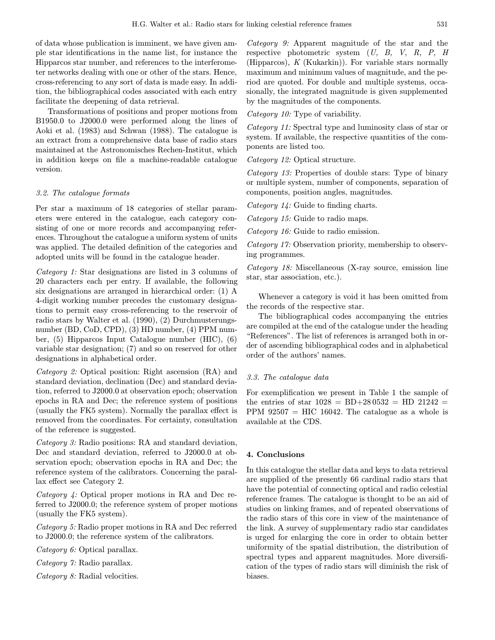of data whose publication is imminent, we have given ample star identifications in the name list, for instance the Hipparcos star number, and references to the interferometer networks dealing with one or other of the stars. Hence, cross-referencing to any sort of data is made easy. In addition, the bibliographical codes associated with each entry facilitate the deepening of data retrieval.

Transformations of positions and proper motions from B1950.0 to J2000.0 were performed along the lines of Aoki et al. (1983) and Schwan (1988). The catalogue is an extract from a comprehensive data base of radio stars maintained at the Astronomisches Rechen-Institut, which in addition keeps on file a machine-readable catalogue version.

#### 3.2. The catalogue formats

Per star a maximum of 18 categories of stellar parameters were entered in the catalogue, each category consisting of one or more records and accompanying references. Throughout the catalogue a uniform system of units was applied. The detailed definition of the categories and adopted units will be found in the catalogue header.

Category 1: Star designations are listed in 3 columns of 20 characters each per entry. If available, the following six designations are arranged in hierarchical order: (1) A 4-digit working number precedes the customary designations to permit easy cross-referencing to the reservoir of radio stars by Walter et al. (1990), (2) Durchmusterungsnumber (BD, CoD, CPD), (3) HD number, (4) PPM number, (5) Hipparcos Input Catalogue number (HIC), (6) variable star designation; (7) and so on reserved for other designations in alphabetical order.

Category 2: Optical position: Right ascension (RA) and standard deviation, declination (Dec) and standard deviation, referred to J2000.0 at observation epoch; observation epochs in RA and Dec; the reference system of positions (usually the FK5 system). Normally the parallax effect is removed from the coordinates. For certainty, consultation of the reference is suggested.

Category 3: Radio positions: RA and standard deviation, Dec and standard deviation, referred to J2000.0 at observation epoch; observation epochs in RA and Dec; the reference system of the calibrators. Concerning the parallax effect see Category 2.

Category 4: Optical proper motions in RA and Dec referred to J2000.0; the reference system of proper motions (usually the FK5 system).

Category 5: Radio proper motions in RA and Dec referred to J2000.0; the reference system of the calibrators.

Category 6: Optical parallax.

Category 7: Radio parallax.

Category 8: Radial velocities.

Category 9: Apparent magnitude of the star and the respective photometric system (U, B, V, R, P, H (Hipparcos), K (Kukarkin)). For variable stars normally maximum and minimum values of magnitude, and the period are quoted. For double and multiple systems, occasionally, the integrated magnitude is given supplemented by the magnitudes of the components.

Category 10: Type of variability.

Category 11: Spectral type and luminosity class of star or system. If available, the respective quantities of the components are listed too.

Category 12: Optical structure.

Category 13: Properties of double stars: Type of binary or multiple system, number of components, separation of components, position angles, magnitudes.

Category 14: Guide to finding charts.

Category 15: Guide to radio maps.

Category 16: Guide to radio emission.

Category 17: Observation priority, membership to observing programmes.

Category 18: Miscellaneous (X-ray source, emission line star, star association, etc.).

Whenever a category is void it has been omitted from the records of the respective star.

The bibliographical codes accompanying the entries are compiled at the end of the catalogue under the heading "References". The list of references is arranged both in order of ascending bibliographical codes and in alphabetical order of the authors' names.

## 3.3. The catalogue data

For exemplification we present in Table 1 the sample of the entries of star  $1028 = BD+280532 = HD 21242 =$ PPM  $92507 = HIC$  16042. The catalogue as a whole is available at the CDS.

#### 4. Conclusions

In this catalogue the stellar data and keys to data retrieval are supplied of the presently 66 cardinal radio stars that have the potential of connecting optical and radio celestial reference frames. The catalogue is thought to be an aid of studies on linking frames, and of repeated observations of the radio stars of this core in view of the maintenance of the link. A survey of supplementary radio star candidates is urged for enlarging the core in order to obtain better uniformity of the spatial distribution, the distribution of spectral types and apparent magnitudes. More diversification of the types of radio stars will diminish the risk of biases.